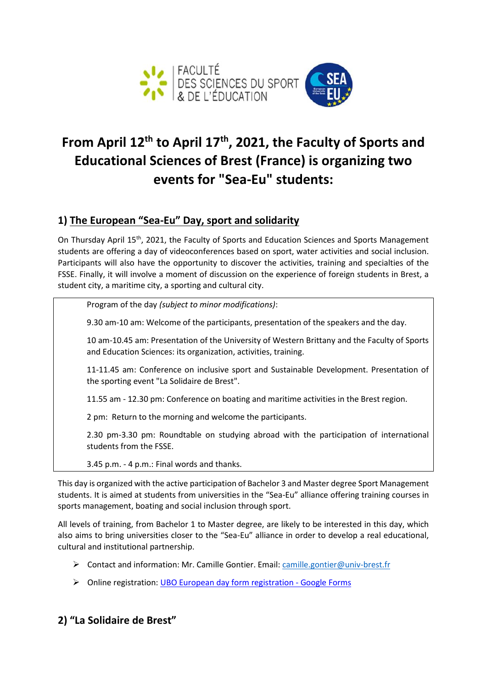

## **From April 12th to April 17th, 2021, the Faculty of Sports and Educational Sciences of Brest (France) is organizing two events for "Sea-Eu" students:**

## **1) The European "Sea-Eu" Day, sport and solidarity**

On Thursday April 15th, 2021, the Faculty of Sports and Education Sciences and Sports Management students are offering a day of videoconferences based on sport, water activities and social inclusion. Participants will also have the opportunity to discover the activities, training and specialties of the FSSE. Finally, it will involve a moment of discussion on the experience of foreign students in Brest, a student city, a maritime city, a sporting and cultural city.

Program of the day *(subject to minor modifications)*:

9.30 am-10 am: Welcome of the participants, presentation of the speakers and the day.

10 am-10.45 am: Presentation of the University of Western Brittany and the Faculty of Sports and Education Sciences: its organization, activities, training.

11-11.45 am: Conference on inclusive sport and Sustainable Development. Presentation of the sporting event "La Solidaire de Brest".

11.55 am - 12.30 pm: Conference on boating and maritime activities in the Brest region.

2 pm: Return to the morning and welcome the participants.

2.30 pm-3.30 pm: Roundtable on studying abroad with the participation of international students from the FSSE.

3.45 p.m. - 4 p.m.: Final words and thanks.

This day is organized with the active participation of Bachelor 3 and Master degree Sport Management students. It is aimed at students from universities in the "Sea-Eu" alliance offering training courses in sports management, boating and social inclusion through sport.

All levels of training, from Bachelor 1 to Master degree, are likely to be interested in this day, which also aims to bring universities closer to the "Sea-Eu" alliance in order to develop a real educational, cultural and institutional partnership.

- $\triangleright$  Contact and information: Mr. Camille Gontier. Email: [camille.gontier@univ-brest.fr](mailto:camille.gontier@univ-brest.fr)
- Online registration: [UBO European day form registration -](https://docs.google.com/forms/d/1F7yIoQqQG077t5J9owG8rdD-M3S1HgAa41Aou6aXZHY/edit) Google Forms

## **2) "La Solidaire de Brest"**